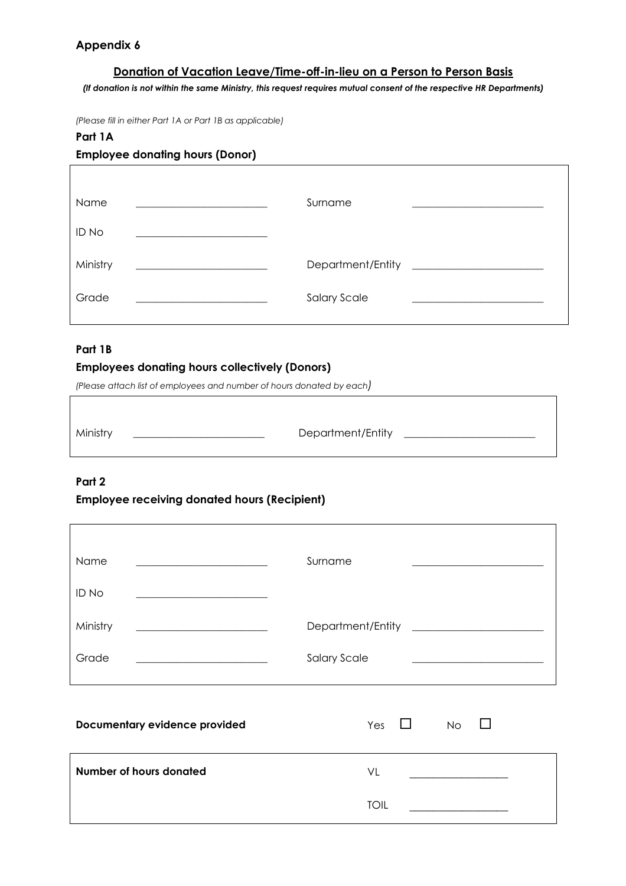# **Appendix 6**

## **Donation of Vacation Leave/Time-off-in-lieu on a Person to Person Basis**

*(If donation is not within the same Ministry, this request requires mutual consent of the respective HR Departments)*

*(Please fill in either Part 1A or Part 1B as applicable)*

#### **Part 1A**

## **Employee donating hours (Donor)**

| <b>Name</b> | Surname             |  |
|-------------|---------------------|--|
| ID No       |                     |  |
| Ministry    | Department/Entity   |  |
| Grade       | <b>Salary Scale</b> |  |

#### **Part 1B**

## **Employees donating hours collectively (Donors)**

*(Please attach list of employees and number of hours donated by each)*

| Ministry | Department/Entity |  |
|----------|-------------------|--|
|          |                   |  |

# **Part 2**

#### **Employee receiving donated hours (Recipient)**

| Name                                                   | Surname                    |
|--------------------------------------------------------|----------------------------|
| ID No                                                  |                            |
| Ministry<br><u> 1980 - Johann Stone, mars et al. (</u> |                            |
| Grade                                                  | <b>Salary Scale</b>        |
| Documentary evidence provided                          | Yes<br><b>No</b><br>$\Box$ |
| Number of hours donated                                | VL                         |

TOIL **\_\_\_\_\_\_\_\_\_\_\_\_\_\_\_\_\_**